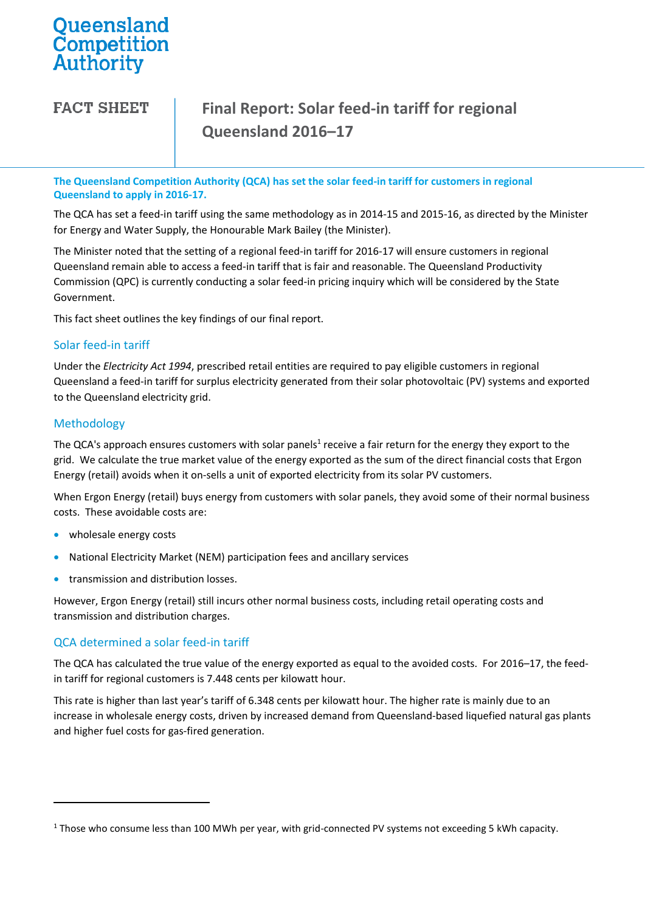# Queensland<br>Competition Authority

**FACT SHEET** 

## **Final Report: Solar feed-in tariff for regional Queensland 2016–17**

**The Queensland Competition Authority (QCA) has set the solar feed-in tariff for customers in regional Queensland to apply in 2016-17.**

The QCA has set a feed-in tariff using the same methodology as in 2014-15 and 2015-16, as directed by the Minister for Energy and Water Supply, the Honourable Mark Bailey (the Minister).

The Minister noted that the setting of a regional feed-in tariff for 2016-17 will ensure customers in regional Queensland remain able to access a feed-in tariff that is fair and reasonable. The Queensland Productivity Commission (QPC) is currently conducting a solar feed-in pricing inquiry which will be considered by the State Government.

This fact sheet outlines the key findings of our final report.

#### Solar feed-in tariff

Under the *Electricity Act 1994*, prescribed retail entities are required to pay eligible customers in regional Queensland a feed-in tariff for surplus electricity generated from their solar photovoltaic (PV) systems and exported to the Queensland electricity grid.

#### Methodology

 $\overline{a}$ 

The QCA's approach ensures customers with solar panels<sup>1</sup> receive a fair return for the energy they export to the grid. We calculate the true market value of the energy exported as the sum of the direct financial costs that Ergon Energy (retail) avoids when it on-sells a unit of exported electricity from its solar PV customers.

When Ergon Energy (retail) buys energy from customers with solar panels, they avoid some of their normal business costs. These avoidable costs are:

- wholesale energy costs
- National Electricity Market (NEM) participation fees and ancillary services
- **•** transmission and distribution losses.

However, Ergon Energy (retail) still incurs other normal business costs, including retail operating costs and transmission and distribution charges.

#### QCA determined a solar feed-in tariff

The QCA has calculated the true value of the energy exported as equal to the avoided costs. For 2016–17, the feedin tariff for regional customers is 7.448 cents per kilowatt hour.

This rate is higher than last year's tariff of 6.348 cents per kilowatt hour. The higher rate is mainly due to an increase in wholesale energy costs, driven by increased demand from Queensland-based liquefied natural gas plants and higher fuel costs for gas-fired generation.

<sup>&</sup>lt;sup>1</sup> Those who consume less than 100 MWh per year, with grid-connected PV systems not exceeding 5 kWh capacity.